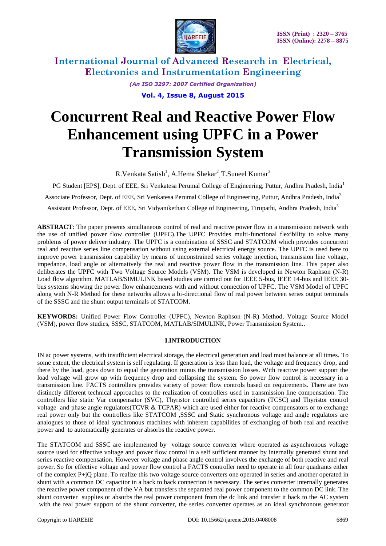

> *(An ISO 3297: 2007 Certified Organization)* **Vol. 4, Issue 8, August 2015**

# **Concurrent Real and Reactive Power Flow Enhancement using UPFC in a Power Transmission System**

R. Venkata Satish<sup>1</sup>, A. Hema Shekar<sup>2</sup>, T. Suneel Kumar<sup>3</sup>

PG Student [EPS], Dept. of EEE, Sri Venkatesa Perumal College of Engineering, Puttur, Andhra Pradesh, India<sup>1</sup> Associate Professor, Dept. of EEE, Sri Venkatesa Perumal College of Engineering, Puttur, Andhra Pradesh, India<sup>2</sup> Assistant Professor, Dept. of EEE, Sri Vidyanikethan College of Engineering, Tirupathi, Andhra Pradesh, India<sup>3</sup>

**ABSTRACT**: The paper presents simultaneous control of real and reactive power flow in a transmission network with the use of unified power flow controller (UPFC).The UPFC Provides multi-functional flexibility to solve many problems of power deliver industry. The UPFC is a combination of SSSC and STATCOM which provides concurrent real and reactive series line compensation without using external electrical energy source. The UPFC is used here to improve power transmission capability by means of unconstrained series voltage injection, transmission line voltage, impedance, load angle or alternatively the real and reactive power flow in the transmission line. This paper also deliberates the UPFC with Two Voltage Source Models (VSM). The VSM is developed in Newton Raphson (N-R) Load flow algorithm. MATLAB/SIMULINK based studies are carried out for IEEE 5-bus, IEEE 14-bus and IEEE 30 bus systems showing the power flow enhancements with and without connection of UPFC. The VSM Model of UPFC along with N-R Method for these networks allows a bi-directional flow of real power between series output terminals of the SSSC and the shunt output terminals of STATCOM.

**KEYWORDS:** Unified Power Flow Controller (UPFC), Newton Raphson (N-R) Method, Voltage Source Model (VSM), power flow studies, SSSC, STATCOM, MATLAB/SIMULINK, Power Transmission System..

### **I.INTRODUCTION**

IN ac power systems, with insufficient electrical storage, the electrical generation and load must balance at all times. To some extent, the electrical system is self regulating. If generation is less than load, the voltage and frequency drop, and there by the load, goes down to equal the generation minus the transmission losses. With reactive power support the load voltage will grow up with frequency drop and collapsing the system. So power flow control is necessary in a transmission line. FACTS controllers provides variety of power flow controls based on requirements. There are two distinctly different technical approaches to the realization of controllers used in transmission line compensation. The controllers like static Var compensator (SVC), Thyristor controlled series capacitors (TCSC) and Thyristor control voltage and phase angle regulators(TCVR  $&$  TCPAR) which are used either for reactive compensators or to exchange real power only but the controllers like STATCOM ,SSSC and Static synchronous voltage and angle regulators are analogues to those of ideal synchronous machines with inherent capabilities of exchanging of both real and reactive power and to automatically generates or absorbs the reactive power.

The STATCOM and SSSC are implemented by voltage source converter where operated as asynchronous voltage source used for effective voltage and power flow control in a self sufficient manner by internally generated shunt and series reactive compensation. However voltage and phase angle control involves the exchange of both reactive and real power. So for effective voltage and power flow control a FACTS controller need to operate in all four quadrants either of the complex P+jQ plane. To realize this two voltage source converters one operated in series and another operated in shunt with a common DC capacitor in a back to back connection is necessary. The series converter internally generates the reactive power component of the VA but transfers the separated real power component to the common DC link. The shunt converter supplies or absorbs the real power component from the dc link and transfer it back to the AC system .with the real power support of the shunt converter, the series converter operates as an ideal synchronous generator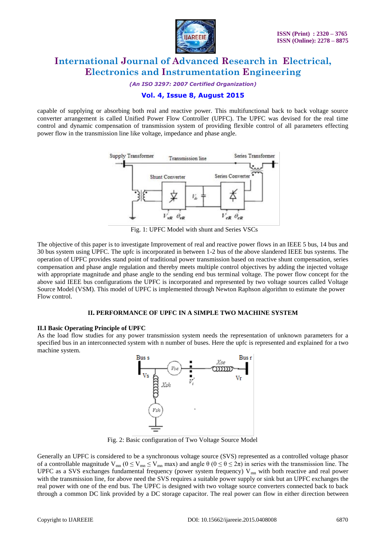

*(An ISO 3297: 2007 Certified Organization)*

### **Vol. 4, Issue 8, August 2015**

capable of supplying or absorbing both real and reactive power. This multifunctional back to back voltage source converter arrangement is called Unified Power Flow Controller (UPFC). The UPFC was devised for the real time control and dynamic compensation of transmission system of providing flexible control of all parameters effecting power flow in the transmission line like voltage, impedance and phase angle.



Fig. 1: UPFC Model with shunt and Series VSCs

The objective of this paper is to investigate Improvement of real and reactive power flows in an IEEE 5 bus, 14 bus and 30 bus system using UPFC. The upfc is incorporated in between 1-2 bus of the above slandered IEEE bus systems. The operation of UPFC provides stand point of traditional power transmission based on reactive shunt compensation, series compensation and phase angle regulation and thereby meets multiple control objectives by adding the injected voltage with appropriate magnitude and phase angle to the sending end bus terminal voltage. The power flow concept for the above said IEEE bus configurations the UPFC is incorporated and represented by two voltage sources called Voltage Source Model (VSM). This model of UPFC is implemented through Newton Raphson algorithm to estimate the power Flow control.

#### **II. PERFORMANCE OF UPFC IN A SIMPLE TWO MACHINE SYSTEM**

#### **II.I Basic Operating Principle of UPFC**

As the load flow studies for any power transmission system needs the representation of unknown parameters for a specified bus in an interconnected system with n number of buses. Here the upfc is represented and explained for a two machine system.



Fig. 2: Basic configuration of Two Voltage Source Model

Generally an UPFC is considered to be a synchronous voltage source (SVS) represented as a controlled voltage phasor of a controllable magnitude  $V_{mn}$  ( $0 \le V_{mn} \le V_{mn}$  max) and angle  $\theta$  ( $0 \le \theta \le 2\pi$ ) in series with the transmission line. The UPFC as a SVS exchanges fundamental frequency (power system frequency)  $V_{mn}$  with both reactive and real power with the transmission line, for above need the SVS requires a suitable power supply or sink but an UPFC exchanges the real power with one of the end bus. The UPFC is designed with two voltage source converters connected back to back through a common DC link provided by a DC storage capacitor. The real power can flow in either direction between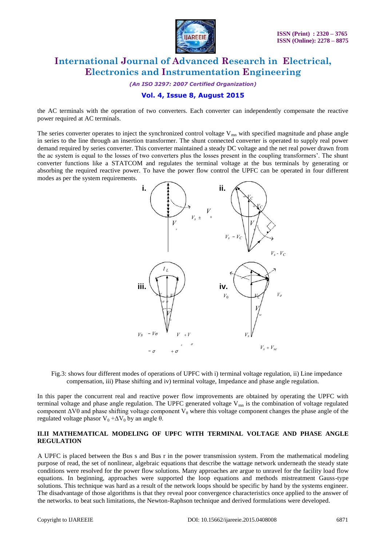

*(An ISO 3297: 2007 Certified Organization)*

### **Vol. 4, Issue 8, August 2015**

the AC terminals with the operation of two converters. Each converter can independently compensate the reactive power required at AC terminals.

The series converter operates to inject the synchronized control voltage  $V_{mn}$  with specified magnitude and phase angle in series to the line through an insertion transformer. The shunt connected converter is operated to supply real power demand required by series converter. This converter maintained a steady DC voltage and the net real power drawn from the ac system is equal to the losses of two converters plus the losses present in the coupling transformers". The shunt converter functions like a STATCOM and regulates the terminal voltage at the bus terminals by generating or absorbing the required reactive power. To have the power flow control the UPFC can be operated in four different modes as per the system requirements.



Fig.3: shows four different modes of operations of UPFC with i) terminal voltage regulation, ii) Line impedance compensation, iii) Phase shifting and iv) terminal voltage, Impedance and phase angle regulation.

In this paper the concurrent real and reactive power flow improvements are obtained by operating the UPFC with terminal voltage and phase angle regulation. The UPFC generated voltage  $V_{mn}$  is the combination of voltage regulated component  $\Delta V0$  and phase shifting voltage component  $V_\theta$  where this voltage component changes the phase angle of the regulated voltage phasor  $V_0 + \Delta V_0$  by an angle θ.

#### **II.II MATHEMATICAL MODELING OF UPFC WITH TERMINAL VOLTAGE AND PHASE ANGLE REGULATION**

A UPFC is placed between the Bus s and Bus r in the power transmission system. From the mathematical modeling purpose of read, the set of nonlinear, algebraic equations that describe the wattage network underneath the steady state conditions were resolved for the power flow solutions. Many approaches are argue to unravel for the facility load flow equations. In beginning, approaches were supported the loop equations and methods mistreatment Gauss-type solutions. This technique was hard as a result of the network loops should be specific by hand by the systems engineer. The disadvantage of those algorithms is that they reveal poor convergence characteristics once applied to the answer of the networks. to beat such limitations, the Newton-Raphson technique and derived formulations were developed.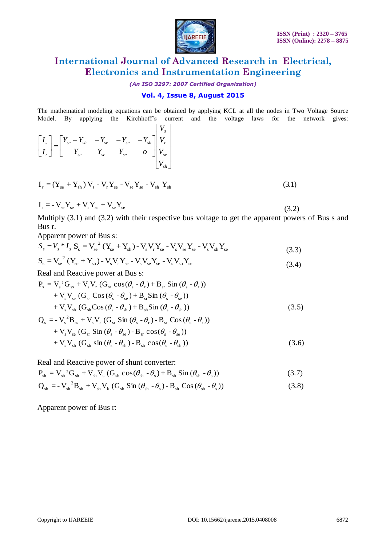

(3.2)

# **International Journal of Advanced Research in Electrical, Electronics and Instrumentation Engineering**

*(An ISO 3297: 2007 Certified Organization)*

### **Vol. 4, Issue 8, August 2015**

The mathematical modeling equations can be obtained by applying KCL at all the nodes in Two Voltage Source Model. By applying the Kirchhoff"s current and the voltage laws for the network gives:

| $\begin{bmatrix} I_s \\ I_r \end{bmatrix} = \begin{bmatrix} Y_{se} + Y_{sh} & -Y_{se} & -Y_{se} & -Y_{sh} \\ -Y_{se} & Y_{se} & Y_{se} & 0 \end{bmatrix} \begin{bmatrix} V_s \\ V_r \\ V_{se} \\ V_{se} \end{bmatrix}$ |  |
|------------------------------------------------------------------------------------------------------------------------------------------------------------------------------------------------------------------------|--|
| $I_{s} = (Y_{se} + Y_{sh}) V_{s} - V_{r} Y_{se} - V_{se} Y_{se} - V_{sh} Y_{sh}$                                                                                                                                       |  |

$$
\mathbf{I}_\mathrm{r} = -\mathbf{V}_\mathrm{se} \mathbf{Y}_\mathrm{se} + \mathbf{V}_\mathrm{r} \mathbf{Y}_\mathrm{se} + \mathbf{V}_\mathrm{se} \mathbf{Y}_\mathrm{se}
$$

Multiply (3.1) and (3.2) with their respective bus voltage to get the apparent powers of Bus s and Bus r.

Apparent power of Bus s:

$$
S_s = V_s * I_s S_s = V_{se}^2 (Y_{se} + Y_{sh}) - V_s V_r Y_{se} - V_s V_{se} Y_{se} - V_s V_{sh} Y_{se}
$$
\n(3.3)

$$
S_{s} = V_{se}^{2} (Y_{se} + Y_{sh}) - V_{s} V_{r} Y_{se} - V_{s} V_{se} Y_{se} - V_{s} V_{sh} Y_{se}
$$
\n(3.4)

Real and Reactive power at Bus s:

$$
S_{s} = V_{se}^{2} (Y_{se} + Y_{sh}) - V_{s} V_{r} Y_{se} - V_{s} V_{se} Y_{se} - V_{s} V_{sh} Y_{se}
$$
\nReal and Reactive power at Bus s:  
\n
$$
P_{s} = V_{s}^{2} G_{ss} + V_{s} V_{r} (G_{sr} \cos(\theta_{s} - \theta_{r}) + B_{sr} \sin(\theta_{s} - \theta_{r}))
$$
\n
$$
+ V_{s} V_{se} (G_{sr} \cos(\theta_{s} - \theta_{se}) + B_{sr} \sin(\theta_{s} - \theta_{se}))
$$
\n
$$
+ V_{s} V_{sh} (G_{sh} \cos(\theta_{s} - \theta_{sh}) + B_{sh} \sin(\theta_{s} - \theta_{sh}))
$$
\n
$$
Q_{s} = -V_{s}^{2} B_{ss} + V_{s} V_{r} (G_{sr} \sin(\theta_{s} - \theta_{r}) - B_{sr} \cos(\theta_{s} - \theta_{r}))
$$
\n
$$
+ V_{s} V_{s} (G_{sr} \sin(\theta_{s} - \theta_{r}) - B_{sr} \cos(\theta_{s} - \theta_{r}))
$$
\n
$$
+ V_{s} V_{s} (G_{sr} \sin(\theta_{s} - \theta_{r}) - B_{sr} \cos(\theta_{s} - \theta_{r}))
$$
\n(3.5)

$$
+V_{s}V_{sh} (G_{sh}Cos(\theta_{s} - \theta_{sh}) + B_{sh}Sin(\theta_{s} - \theta_{sh}))
$$
  
\n
$$
Q_{s} = -V_{s}^{2}B_{ss} + V_{s}V_{r} (G_{sr} Sin(\theta_{s} - \theta_{r}) - B_{sr} Cos(\theta_{s} - \theta_{r}))
$$
  
\n
$$
+V_{s}V_{se} (G_{sr} Sin(\theta_{s} - \theta_{se}) - B_{sr} cos(\theta_{s} - \theta_{se}))
$$
  
\n
$$
+V_{s}V_{sh} (G_{sh} sin(\theta_{s} - \theta_{sh}) - B_{sh} cos(\theta_{s} - \theta_{sh}))
$$
\n(3.6)

Real and Reactive power of shunt converter:

$$
+ V_{s} V_{sh} (G_{sh} \sin (\theta_{s} - \theta_{sh}) - B_{sh} \cos (\theta_{s} - \theta_{sh}))
$$
\n(3.6)  
\nReal and Reactive power of shunt converter:  
\n
$$
P_{sh} = V_{sh} {}^{2}G_{sh} + V_{sh} V_{s} (G_{sh} \cos (\theta_{sh} - \theta_{s}) + B_{sh} \sin (\theta_{sh} - \theta_{s}))
$$
\n(3.7)  
\n
$$
Q_{sh} = -V_{sh} {}^{2}B_{sh} + V_{sh} V_{k} (G_{sh} \sin (\theta_{sh} - \theta_{s}) - B_{sh} \cos (\theta_{sh} - \theta_{s}))
$$
\n(3.8)

$$
Q_{sh} = -V_{sh}^{2}B_{sh} + V_{sh}V_{k} (G_{sh} \sin (\theta_{sh} - \theta_{s}) - B_{sh} \cos (\theta_{sh} - \theta_{s}))
$$
\n(3.8)

Apparent power of Bus r: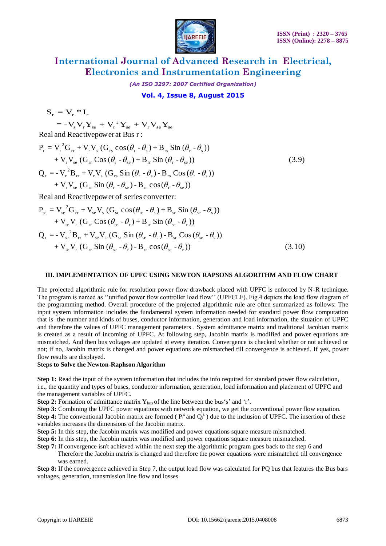

*(An ISO 3297: 2007 Certified Organization)*

### **Vol. 4, Issue 8, August 2015**

 $S_r = V_r * I_r$ 

 ${\rm S} = -{\rm V}_{\rm s}{\rm V}_{\rm r}{\rm Y}_{\rm se} + {\rm V}_{\rm r}^{\rm \; 2} {\rm Y}_{\rm se} + {\rm V}_{\rm r}{\rm V}_{\rm se}{\rm Y}_{\rm se}$ 

$$
S_{r} = V_{r} - V_{r}
$$
  
\n
$$
= -V_{s}V_{r}Y_{se} + V_{r}^{2}Y_{se} + V_{r}V_{se}Y_{se}
$$
  
\nReal and Reactivepower at Bus r :  
\n
$$
P_{r} = V_{r}^{2}G_{rr} + V_{r}V_{s} (G_{rs} cos(\theta_{r} - \theta_{s}) + B_{rs} Sin(\theta_{r} - \theta_{s}))
$$
  
\n
$$
+ V_{r}V_{se} (G_{rr} Cos(\theta_{r} - \theta_{se}) + B_{rr} Sin(\theta_{r} - \theta_{se}))
$$
  
\n
$$
Q_{r} = -V_{r}^{2}B_{rr} + V_{r}V_{s} (G_{rs} Sin(\theta_{r} - \theta_{s}) - B_{rs} Cos(\theta_{r} - \theta_{s}))
$$
  
\n
$$
+ V_{r}V_{se} (G_{rr} Sin(\theta_{r} - \theta_{se}) - B_{rr} cos(\theta_{r} - \theta_{se}))
$$
  
\nReal and Reactive power of series operator.

$$
+ V_{r} V_{se} (G_{rr} Sin (\theta_{r} - \theta_{se}) - B_{rr} cos (\theta_{r} - \theta_{se}))
$$
  
Real and Reactivepower of series converter:  

$$
P_{se} = V_{se}^{2} G_{rr} + V_{se} V_{s} (G_{sr} cos (\theta_{se} - \theta_{s}) + B_{sr} Sin (\theta_{se} - \theta_{s}))
$$

$$
+ V_{se} V_{r} (G_{rr} Cos (\theta_{se} - \theta_{r}) + B_{rr} Sin (\theta_{se} - \theta_{r}))
$$

$$
Q_{r} = - V_{se}^{2} B_{rr} + V_{se} V_{s} (G_{sr} Sin (\theta_{se} - \theta_{s}) - B_{sr} Cos (\theta_{se} - \theta_{s}))
$$

$$
+ V_{se} V_{r} (G_{rr} Sin (\theta_{se} - \theta_{r}) - B_{rr} cos (\theta_{se} - \theta_{r}))
$$
(3.10)

#### **III. IMPLEMENTATION OF UPFC USING NEWTON RAPSONS ALGORITHM AND FLOW CHART**

The projected algorithmic rule for resolution power flow drawback placed with UPFC is enforced by N-R technique. The program is named as "unified power flow controller load flow" (UPFCLF). Fig.4 depicts the load flow diagram of the programming method. Overall procedure of the projected algorithmic rule are often summarized as follows: The input system information includes the fundamental system information needed for standard power flow computation that is the number and kinds of buses, conductor information, generation and load information, the situation of UPFC and therefore the values of UPFC management parameters . System admittance matrix and traditional Jacobian matrix is created as a result of incoming of UPFC. At following step, Jacobin matrix is modified and power equations are mismatched. And then bus voltages are updated at every iteration. Convergence is checked whether or not achieved or not; if no, Jacobin matrix is changed and power equations are mismatched till convergence is achieved. If yes, power flow results are displayed.

#### **Steps to Solve the Newton-Raphson Algorithm**

**Step 1:** Read the input of the system information that includes the info required for standard power flow calculation, i.e., the quantity and types of buses, conductor information, generation, load information and placement of UPFC and the management variables of UPFC.

- **Step 2:** Formation of admittance matrix  $Y_{bus}$  of the line between the bus's' and 'r'.
- **Step 3:** Combining the UPFC power equations with network equation, we get the conventional power flow equation.

**Step 4:** The conventional Jacobin matrix are formed ( $P_i^s$  and  $Q_i^s$ ) due to the inclusion of UPFC. The insertion of these variables increases the dimensions of the Jacobin matrix.

- **Step 5:** In this step, the Jacobin matrix was modified and power equations square measure mismatched.
- **Step 6:** In this step, the Jacobin matrix was modified and power equations square measure mismatched.
- **Step 7:** If convergence isn't achieved within the next step the algorithmic program goes back to the step 6 and Therefore the Jacobin matrix is changed and therefore the power equations were mismatched till convergence was earned.

**Step 8:** If the convergence achieved in Step 7, the output load flow was calculated for PQ bus that features the Bus bars voltages, generation, transmission line flow and losses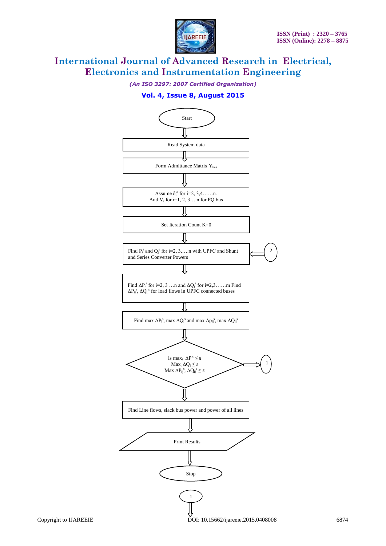

*(An ISO 3297: 2007 Certified Organization)*

## **Vol. 4, Issue 8, August 2015**

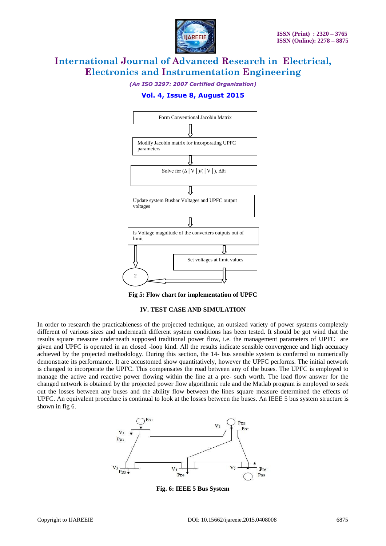

*(An ISO 3297: 2007 Certified Organization)*

### **Vol. 4, Issue 8, August 2015**



**Fig 5: Flow chart for implementation of UPFC**

#### **IV. TEST CASE AND SIMULATION**

In order to research the practicableness of the projected technique, an outsized variety of power systems completely different of various sizes and underneath different system conditions has been tested. It should be got wind that the results square measure underneath supposed traditional power flow, i.e. the management parameters of UPFC are given and UPFC is operated in an closed -loop kind. All the results indicate sensible convergence and high accuracy achieved by the projected methodology. During this section, the 14- bus sensible system is conferred to numerically demonstrate its performance. It are accustomed show quantitatively, however the UPFC performs. The initial network is changed to incorporate the UPFC. This compensates the road between any of the buses. The UPFC is employed to manage the active and reactive power flowing within the line at a pre- such worth. The load flow answer for the changed network is obtained by the projected power flow algorithmic rule and the Matlab program is employed to seek out the losses between any buses and the ability flow between the lines square measure determined the effects of UPFC. An equivalent procedure is continual to look at the losses between the buses. An IEEE 5 bus system structure is shown in fig 6.



**Fig. 6: IEEE 5 Bus System**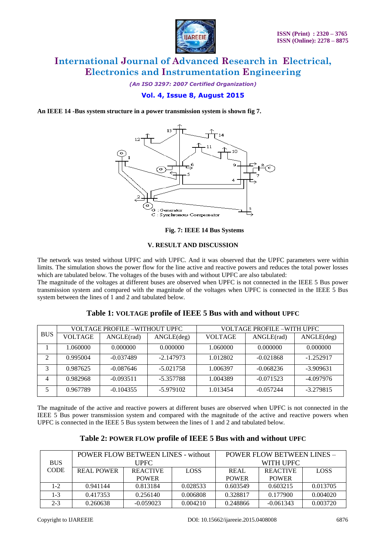

*(An ISO 3297: 2007 Certified Organization)*

### **Vol. 4, Issue 8, August 2015**

**An IEEE 14 -Bus system structure in a power transmission system is shown fig 7.**



#### **Fig. 7: IEEE 14 Bus Systems**

#### **V. RESULT AND DISCUSSION**

The network was tested without UPFC and with UPFC. And it was observed that the UPFC parameters were within limits. The simulation shows the power flow for the line active and reactive powers and reduces the total power losses which are tabulated below. The voltages of the buses with and without UPFC are also tabulated:

The magnitude of the voltages at different buses are observed when UPFC is not connected in the IEEE 5 Bus power transmission system and compared with the magnitude of the voltages when UPFC is connected in the IEEE 5 Bus system between the lines of 1 and 2 and tabulated below.

|            |                | <b>VOLTAGE PROFILE -WITHOUT UPFC</b> |             | <b>VOLTAGE PROFILE -WITH UPFC</b> |             |             |  |
|------------|----------------|--------------------------------------|-------------|-----------------------------------|-------------|-------------|--|
| <b>BUS</b> | <b>VOLTAGE</b> | ANGLE(rad)                           | ANGLE(deg)  | <b>VOLTAGE</b>                    | ANGLE(rad)  | ANGLE(deg)  |  |
|            | 1.060000       | 0.000000                             | 0.000000    | 1.060000                          | 0.000000    | 0.000000    |  |
| 2          | 0.995004       | $-0.037489$                          | $-2.147973$ | 1.012802                          | $-0.021868$ | $-1.252917$ |  |
| 3          | 0.987625       | $-0.087646$                          | $-5.021758$ | 1.006397                          | $-0.068236$ | $-3.909631$ |  |
| 4          | 0.982968       | $-0.093511$                          | -5.357788   | 1.004389                          | $-0.071523$ | -4.097976   |  |
| 5          | 0.967789       | $-0.104355$                          | $-5.979102$ | 1.013454                          | $-0.057244$ | $-3.279815$ |  |

### **Table 1: VOLTAGE profile of IEEE 5 Bus with and without UPFC**

The magnitude of the active and reactive powers at different buses are observed when UPFC is not connected in the IEEE 5 Bus power transmission system and compared with the magnitude of the active and reactive powers when UPFC is connected in the IEEE 5 Bus system between the lines of 1 and 2 and tabulated below.

| Table 2: POWER FLOW profile of IEEE 5 Bus with and without UPFC |  |  |
|-----------------------------------------------------------------|--|--|
|-----------------------------------------------------------------|--|--|

|             |             | <b>POWER FLOW BETWEEN LINES - without</b> |             | POWER FLOW BETWEEN LINES - |                 |             |
|-------------|-------------|-------------------------------------------|-------------|----------------------------|-----------------|-------------|
| <b>BUS</b>  | <b>UPFC</b> |                                           |             |                            | WITH UPFC       |             |
| <b>CODE</b> | REAL POWER  | <b>REACTIVE</b>                           | <b>LOSS</b> | REAL                       | <b>REACTIVE</b> | <b>LOSS</b> |
|             |             | <b>POWER</b>                              |             | <b>POWER</b>               | <b>POWER</b>    |             |
| $1 - 2$     | 0.941144    | 0.813184                                  | 0.028533    | 0.603549                   | 0.603215        | 0.013705    |
| $1 - 3$     | 0.417353    | 0.256140                                  | 0.006808    | 0.328817                   | 0.177900        | 0.004020    |
| $2 - 3$     | 0.260638    | $-0.059023$                               | 0.004210    | 0.248866                   | $-0.061343$     | 0.003720    |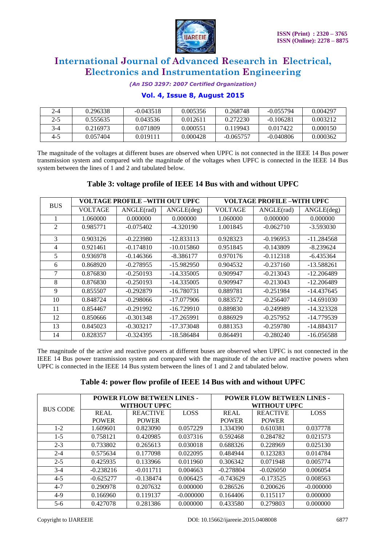

*(An ISO 3297: 2007 Certified Organization)*

### **Vol. 4, Issue 8, August 2015**

| $2 - 4$ | 0.296338 | $-0.043518$ | 0.005356 | 0.268748    | $-0.055794$ | 0.004297 |
|---------|----------|-------------|----------|-------------|-------------|----------|
| 2-5     | 0.555635 | 0.043536    | 0.012611 | 0.272230    | $-0.106281$ | 0.003212 |
| $3-4$   | 0.216973 | 0.071809    | 0.000551 | 0.119943    | 0.017422    | 0.000150 |
| 4-5     | 0.057404 | 0.019111    | 0.000428 | $-0.065757$ | $-0.040806$ | 0.000362 |

The magnitude of the voltages at different buses are observed when UPFC is not connected in the IEEE 14 Bus power transmission system and compared with the magnitude of the voltages when UPFC is connected in the IEEE 14 Bus system between the lines of 1 and 2 and tabulated below.

### **Table 3: voltage profile of IEEE 14 Bus with and without UPFC**

| <b>BUS</b> |                | VOLTAGE PROFILE –WITH OUT UPFC |              | <b>VOLTAGE PROFILE -WITH UPFC</b> |             |              |
|------------|----------------|--------------------------------|--------------|-----------------------------------|-------------|--------------|
|            | <b>VOLTAGE</b> | ANGLE(rad)                     | ANGLE(deg)   | <b>VOLTAGE</b>                    | ANGLE(rad)  | ANGLE(deg)   |
|            | 1.060000       | 0.000000                       | 0.000000     | 1.060000                          | 0.000000    | 0.000000     |
| 2          | 0.985771       | $-0.075402$                    | $-4.320190$  | 1.001845                          | $-0.062710$ | $-3.593030$  |
| 3          | 0.903126       | $-0.223980$                    | $-12.833113$ | 0.928323                          | $-0.196953$ | $-11.284568$ |
| 4          | 0.921461       | $-0.174810$                    | $-10.015860$ | 0.951845                          | $-0.143809$ | $-8.239624$  |
| 5          | 0.936978       | $-0.146366$                    | $-8.386177$  | 0.970176                          | $-0.112318$ | $-6.435364$  |
| 6          | 0.868920       | $-0.278955$                    | $-15.982950$ | 0.904532                          | $-0.237160$ | $-13.588261$ |
| 7          | 0.876830       | $-0.250193$                    | $-14.335005$ | 0.909947                          | $-0.213043$ | $-12.206489$ |
| 8          | 0.876830       | $-0.250193$                    | $-14.335005$ | 0.909947                          | $-0.213043$ | $-12.206489$ |
| 9          | 0.855507       | $-0.292879$                    | $-16.780731$ | 0.889781                          | $-0.251984$ | $-14.437645$ |
| 10         | 0.848724       | $-0.298066$                    | $-17.077906$ | 0.883572                          | $-0.256407$ | $-14.691030$ |
| 11         | 0.854467       | $-0.291992$                    | $-16.729910$ | 0.889830                          | $-0.249989$ | $-14.323328$ |
| 12         | 0.850666       | $-0.301348$                    | $-17.265991$ | 0.886929                          | $-0.257952$ | -14.779539   |
| 13         | 0.845023       | $-0.303217$                    | $-17.373048$ | 0.881353                          | $-0.259780$ | $-14.884317$ |
| 14         | 0.828357       | $-0.324395$                    | $-18.586484$ | 0.864491                          | $-0.280240$ | $-16.056588$ |

The magnitude of the active and reactive powers at different buses are observed when UPFC is not connected in the IEEE 14 Bus power transmission system and compared with the magnitude of the active and reactive powers when UPFC is connected in the IEEE 14 Bus system between the lines of 1 and 2 and tabulated below.

|  |  |  |  |  | Table 4: power flow profile of IEEE 14 Bus with and without UPFC |  |
|--|--|--|--|--|------------------------------------------------------------------|--|
|--|--|--|--|--|------------------------------------------------------------------|--|

|                 | <b>POWER FLOW BETWEEN LINES -</b> |                 |             | <b>POWER FLOW BETWEEN LINES -</b> |                 |             |
|-----------------|-----------------------------------|-----------------|-------------|-----------------------------------|-----------------|-------------|
| <b>BUS CODE</b> |                                   | WITHOUT UPFC    |             | WITHOUT UPFC                      |                 |             |
|                 | <b>REAL</b>                       | <b>REACTIVE</b> | <b>LOSS</b> | <b>REAL</b>                       | <b>REACTIVE</b> | <b>LOSS</b> |
|                 | <b>POWER</b>                      | <b>POWER</b>    |             | <b>POWER</b>                      | <b>POWER</b>    |             |
| $1-2$           | 1.609601                          | 0.823090        | 0.057229    | 1.334390                          | 0.610381        | 0.037778    |
| $1-5$           | 0.758121                          | 0.420985        | 0.037316    | 0.592468                          | 0.284782        | 0.021573    |
| $2 - 3$         | 0.733802                          | 0.265613        | 0.030018    | 0.688326                          | 0.228969        | 0.025130    |
| $2 - 4$         | 0.575634                          | 0.177098        | 0.022095    | 0.484944                          | 0.123283        | 0.014784    |
| $2 - 5$         | 0.425935                          | 0.133966        | 0.011960    | 0.306342                          | 0.071948        | 0.005774    |
| $3-4$           | $-0.238216$                       | $-0.011711$     | 0.004663    | $-0.278804$                       | $-0.026050$     | 0.006054    |
| $4 - 5$         | $-0.625277$                       | $-0.138474$     | 0.006425    | $-0.743629$                       | $-0.173525$     | 0.008563    |
| $4 - 7$         | 0.290978                          | 0.207632        | 0.000000    | 0.286526                          | 0.200626        | $-0.000000$ |
| $4-9$           | 0.166960                          | 0.119137        | $-0.000000$ | 0.164406                          | 0.115117        | 0.000000    |
| $5 - 6$         | 0.427078                          | 0.281386        | 0.000000    | 0.433580                          | 0.279803        | 0.000000    |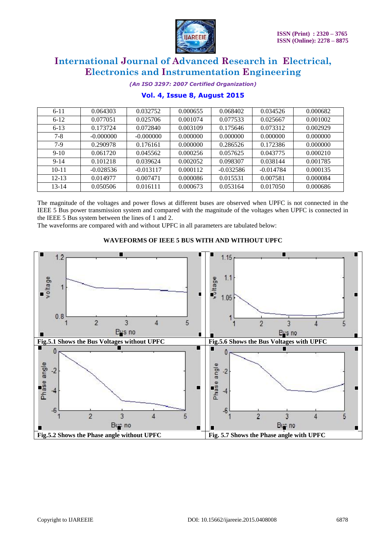

*(An ISO 3297: 2007 Certified Organization)*

| $6 - 11$  | 0.064303    | 0.032752    | 0.000655 | 0.068402    | 0.034526    | 0.000682 |
|-----------|-------------|-------------|----------|-------------|-------------|----------|
| $6-12$    | 0.077051    | 0.025706    | 0.001074 | 0.077533    | 0.025667    | 0.001002 |
| $6 - 13$  | 0.173724    | 0.072840    | 0.003109 | 0.175646    | 0.073312    | 0.002929 |
| $7 - 8$   | $-0.000000$ | $-0.000000$ | 0.000000 | 0.000000    | 0.000000    | 0.000000 |
| $7-9$     | 0.290978    | 0.176161    | 0.000000 | 0.286526    | 0.172386    | 0.000000 |
| $9-10$    | 0.061720    | 0.045562    | 0.000256 | 0.057625    | 0.043775    | 0.000210 |
| $9 - 14$  | 0.101218    | 0.039624    | 0.002052 | 0.098307    | 0.038144    | 0.001785 |
| $10-11$   | $-0.028536$ | $-0.013117$ | 0.000112 | $-0.032586$ | $-0.014784$ | 0.000135 |
| $12 - 13$ | 0.014977    | 0.007471    | 0.000086 | 0.015531    | 0.007581    | 0.000084 |
| $13 - 14$ | 0.050506    | 0.016111    | 0.000673 | 0.053164    | 0.017050    | 0.000686 |
|           |             |             |          |             |             |          |

## **Vol. 4, Issue 8, August 2015**

The magnitude of the voltages and power flows at different buses are observed when UPFC is not connected in the IEEE 5 Bus power transmission system and compared with the magnitude of the voltages when UPFC is connected in the IEEE 5 Bus system between the lines of 1 and 2.

The waveforms are compared with and without UPFC in all parameters are tabulated below:

### **WAVEFORMS OF IEEE 5 BUS WITH AND WITHOUT UPFC**

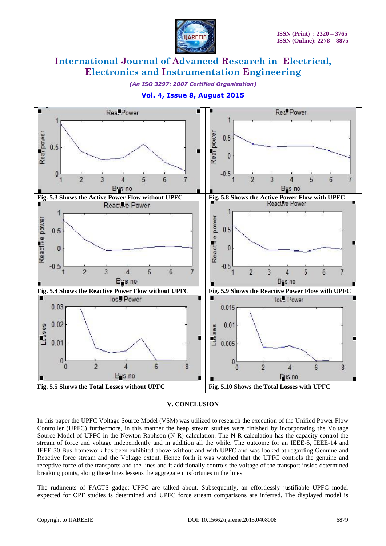

*(An ISO 3297: 2007 Certified Organization)*



### **Vol. 4, Issue 8, August 2015**

### **V. CONCLUSION**

In this paper the UPFC Voltage Source Model (VSM) was utilized to research the execution of the Unified Power Flow Controller (UPFC) furthermore, in this manner the heap stream studies were finished by incorporating the Voltage Source Model of UPFC in the Newton Raphson (N-R) calculation. The N-R calculation has the capacity control the stream of force and voltage independently and in addition all the while. The outcome for an IEEE-5, IEEE-14 and IEEE-30 Bus framework has been exhibited above without and with UPFC and was looked at regarding Genuine and Reactive force stream and the Voltage extent. Hence forth it was watched that the UPFC controls the genuine and receptive force of the transports and the lines and it additionally controls the voltage of the transport inside determined breaking points, along these lines lessens the aggregate misfortunes in the lines.

The rudiments of FACTS gadget UPFC are talked about. Subsequently, an effortlessly justifiable UPFC model expected for OPF studies is determined and UPFC force stream comparisons are inferred. The displayed model is